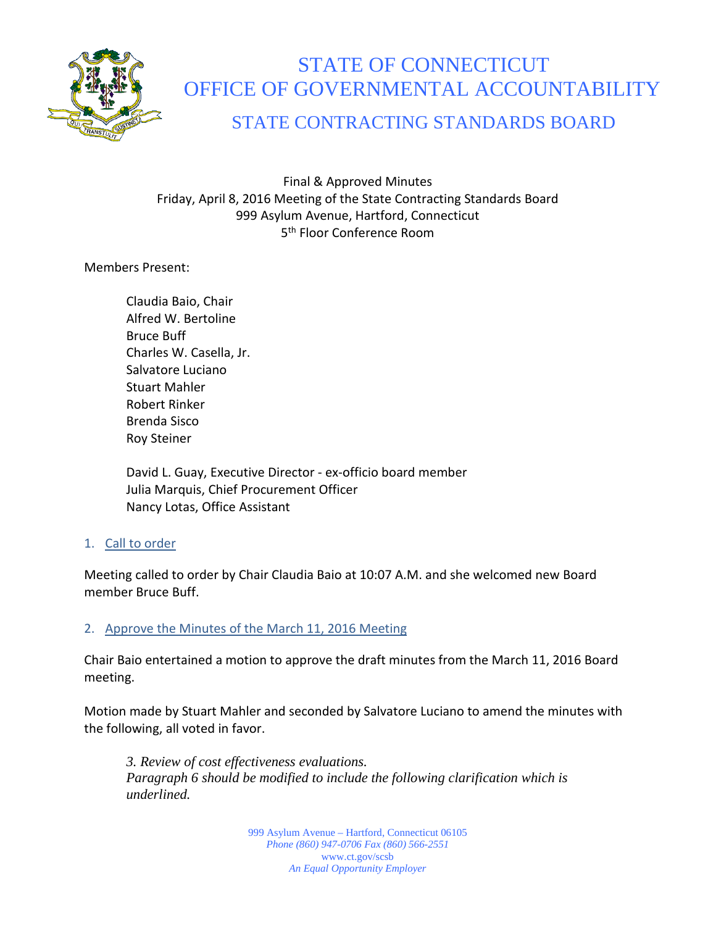

# STATE OF CONNECTICUT OFFICE OF GOVERNMENTAL ACCOUNTABILITY

# STATE CONTRACTING STANDARDS BOARD

Final & Approved Minutes Friday, April 8, 2016 Meeting of the State Contracting Standards Board 999 Asylum Avenue, Hartford, Connecticut 5th Floor Conference Room

Members Present:

Claudia Baio, Chair Alfred W. Bertoline Bruce Buff Charles W. Casella, Jr. Salvatore Luciano Stuart Mahler Robert Rinker Brenda Sisco Roy Steiner

David L. Guay, Executive Director - ex-officio board member Julia Marquis, Chief Procurement Officer Nancy Lotas, Office Assistant

# 1. Call to order

Meeting called to order by Chair Claudia Baio at 10:07 A.M. and she welcomed new Board member Bruce Buff.

### 2. Approve the Minutes of the March 11, 2016 Meeting

Chair Baio entertained a motion to approve the draft minutes from the March 11, 2016 Board meeting.

Motion made by Stuart Mahler and seconded by Salvatore Luciano to amend the minutes with the following, all voted in favor.

*3. Review of cost effectiveness evaluations. Paragraph 6 should be modified to include the following clarification which is underlined.*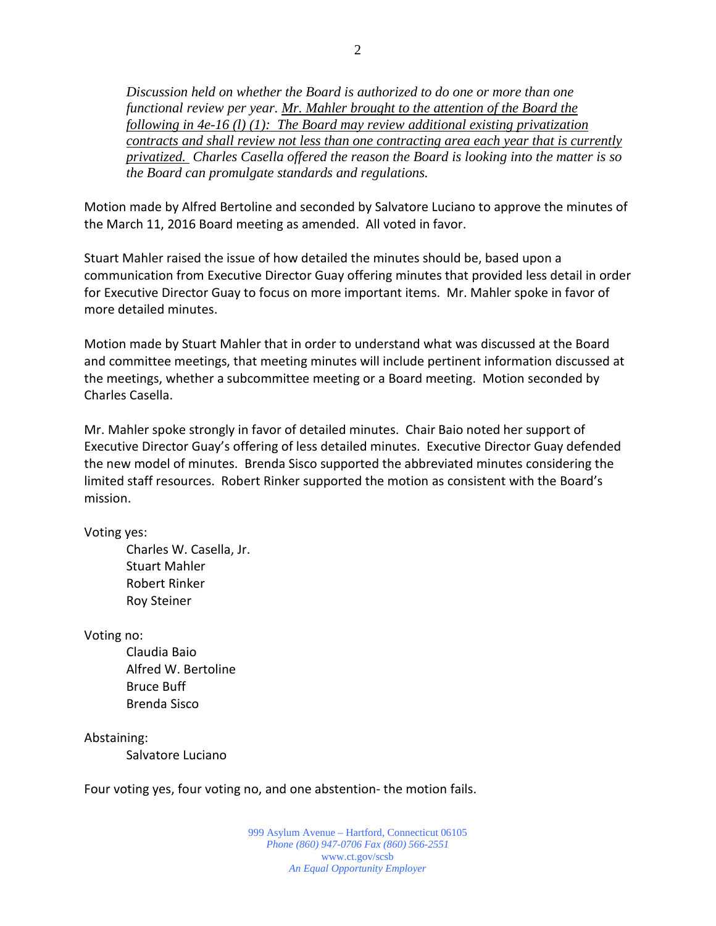*Discussion held on whether the Board is authorized to do one or more than one functional review per year. Mr. Mahler brought to the attention of the Board the following in 4e-16 (l) (1): The Board may review additional existing privatization contracts and shall review not less than one contracting area each year that is currently privatized. Charles Casella offered the reason the Board is looking into the matter is so the Board can promulgate standards and regulations.*

Motion made by Alfred Bertoline and seconded by Salvatore Luciano to approve the minutes of the March 11, 2016 Board meeting as amended. All voted in favor.

Stuart Mahler raised the issue of how detailed the minutes should be, based upon a communication from Executive Director Guay offering minutes that provided less detail in order for Executive Director Guay to focus on more important items. Mr. Mahler spoke in favor of more detailed minutes.

Motion made by Stuart Mahler that in order to understand what was discussed at the Board and committee meetings, that meeting minutes will include pertinent information discussed at the meetings, whether a subcommittee meeting or a Board meeting. Motion seconded by Charles Casella.

Mr. Mahler spoke strongly in favor of detailed minutes. Chair Baio noted her support of Executive Director Guay's offering of less detailed minutes. Executive Director Guay defended the new model of minutes. Brenda Sisco supported the abbreviated minutes considering the limited staff resources. Robert Rinker supported the motion as consistent with the Board's mission.

Voting yes:

Charles W. Casella, Jr. Stuart Mahler Robert Rinker Roy Steiner

Voting no:

Claudia Baio Alfred W. Bertoline Bruce Buff Brenda Sisco

Abstaining:

Salvatore Luciano

Four voting yes, four voting no, and one abstention- the motion fails.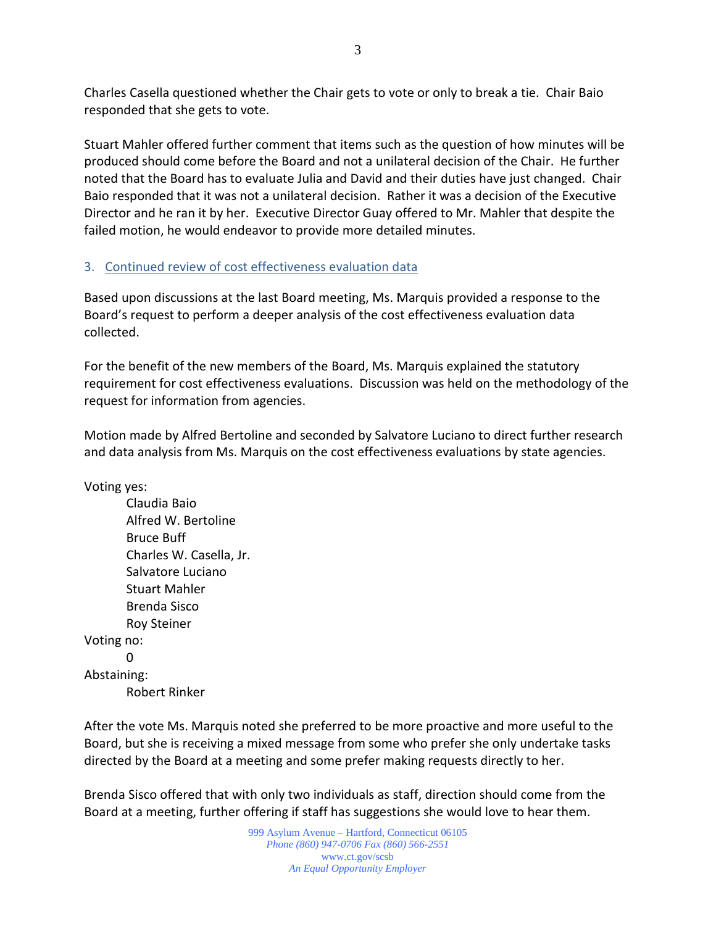Charles Casella questioned whether the Chair gets to vote or only to break a tie. Chair Baio responded that she gets to vote.

Stuart Mahler offered further comment that items such as the question of how minutes will be produced should come before the Board and not a unilateral decision of the Chair. He further noted that the Board has to evaluate Julia and David and their duties have just changed. Chair Baio responded that it was not a unilateral decision. Rather it was a decision of the Executive Director and he ran it by her. Executive Director Guay offered to Mr. Mahler that despite the failed motion, he would endeavor to provide more detailed minutes.

# 3. Continued review of cost effectiveness evaluation data

Based upon discussions at the last Board meeting, Ms. Marquis provided a response to the Board's request to perform a deeper analysis of the cost effectiveness evaluation data collected.

For the benefit of the new members of the Board, Ms. Marquis explained the statutory requirement for cost effectiveness evaluations. Discussion was held on the methodology of the request for information from agencies.

Motion made by Alfred Bertoline and seconded by Salvatore Luciano to direct further research and data analysis from Ms. Marquis on the cost effectiveness evaluations by state agencies.

Voting yes:

Claudia Baio Alfred W. Bertoline Bruce Buff Charles W. Casella, Jr. Salvatore Luciano Stuart Mahler Brenda Sisco Roy Steiner Voting no:  $\Omega$ Abstaining: Robert Rinker

After the vote Ms. Marquis noted she preferred to be more proactive and more useful to the Board, but she is receiving a mixed message from some who prefer she only undertake tasks directed by the Board at a meeting and some prefer making requests directly to her.

Brenda Sisco offered that with only two individuals as staff, direction should come from the Board at a meeting, further offering if staff has suggestions she would love to hear them.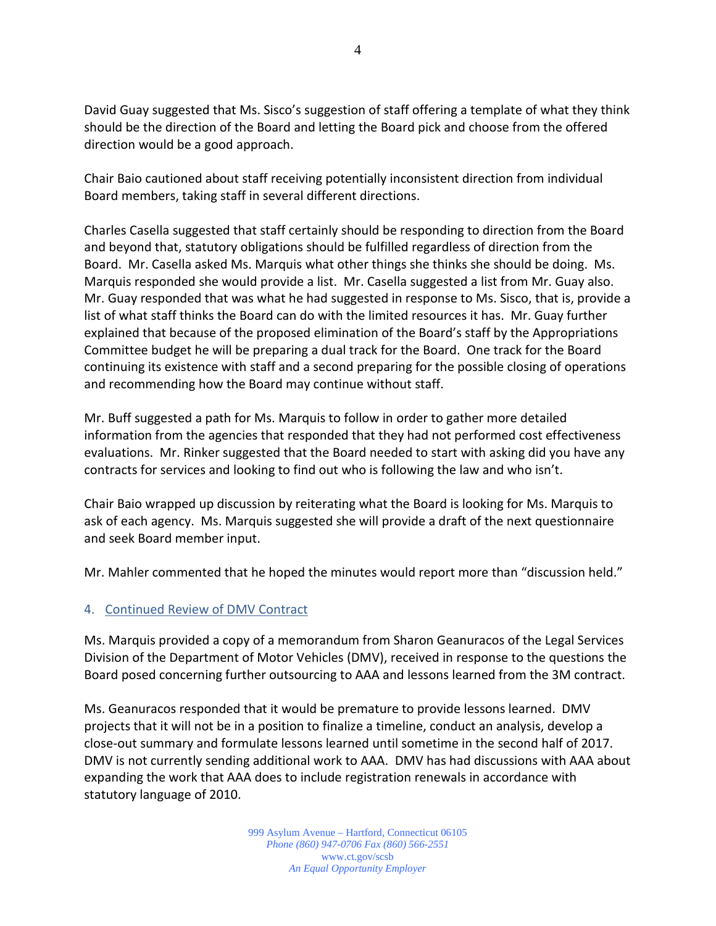David Guay suggested that Ms. Sisco's suggestion of staff offering a template of what they think should be the direction of the Board and letting the Board pick and choose from the offered direction would be a good approach.

Chair Baio cautioned about staff receiving potentially inconsistent direction from individual Board members, taking staff in several different directions.

Charles Casella suggested that staff certainly should be responding to direction from the Board and beyond that, statutory obligations should be fulfilled regardless of direction from the Board. Mr. Casella asked Ms. Marquis what other things she thinks she should be doing. Ms. Marquis responded she would provide a list. Mr. Casella suggested a list from Mr. Guay also. Mr. Guay responded that was what he had suggested in response to Ms. Sisco, that is, provide a list of what staff thinks the Board can do with the limited resources it has. Mr. Guay further explained that because of the proposed elimination of the Board's staff by the Appropriations Committee budget he will be preparing a dual track for the Board. One track for the Board continuing its existence with staff and a second preparing for the possible closing of operations and recommending how the Board may continue without staff.

Mr. Buff suggested a path for Ms. Marquis to follow in order to gather more detailed information from the agencies that responded that they had not performed cost effectiveness evaluations. Mr. Rinker suggested that the Board needed to start with asking did you have any contracts for services and looking to find out who is following the law and who isn't.

Chair Baio wrapped up discussion by reiterating what the Board is looking for Ms. Marquis to ask of each agency. Ms. Marquis suggested she will provide a draft of the next questionnaire and seek Board member input.

Mr. Mahler commented that he hoped the minutes would report more than "discussion held."

### 4. Continued Review of DMV Contract

Ms. Marquis provided a copy of a memorandum from Sharon Geanuracos of the Legal Services Division of the Department of Motor Vehicles (DMV), received in response to the questions the Board posed concerning further outsourcing to AAA and lessons learned from the 3M contract.

Ms. Geanuracos responded that it would be premature to provide lessons learned. DMV projects that it will not be in a position to finalize a timeline, conduct an analysis, develop a close-out summary and formulate lessons learned until sometime in the second half of 2017. DMV is not currently sending additional work to AAA. DMV has had discussions with AAA about expanding the work that AAA does to include registration renewals in accordance with statutory language of 2010.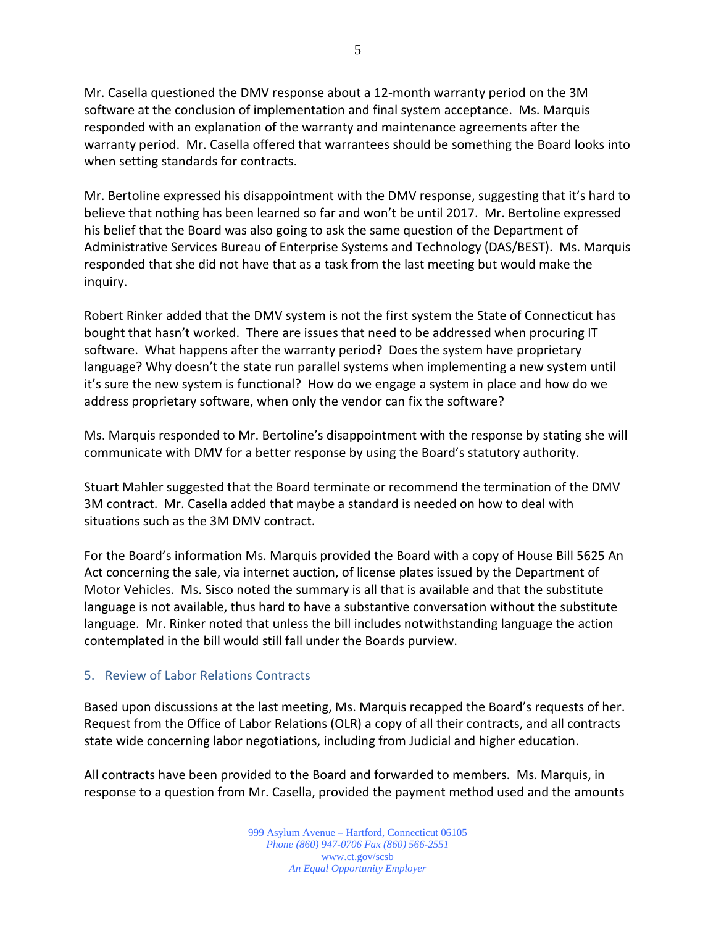Mr. Casella questioned the DMV response about a 12-month warranty period on the 3M software at the conclusion of implementation and final system acceptance. Ms. Marquis responded with an explanation of the warranty and maintenance agreements after the warranty period. Mr. Casella offered that warrantees should be something the Board looks into when setting standards for contracts.

Mr. Bertoline expressed his disappointment with the DMV response, suggesting that it's hard to believe that nothing has been learned so far and won't be until 2017. Mr. Bertoline expressed his belief that the Board was also going to ask the same question of the Department of Administrative Services Bureau of Enterprise Systems and Technology (DAS/BEST). Ms. Marquis responded that she did not have that as a task from the last meeting but would make the inquiry.

Robert Rinker added that the DMV system is not the first system the State of Connecticut has bought that hasn't worked. There are issues that need to be addressed when procuring IT software. What happens after the warranty period? Does the system have proprietary language? Why doesn't the state run parallel systems when implementing a new system until it's sure the new system is functional? How do we engage a system in place and how do we address proprietary software, when only the vendor can fix the software?

Ms. Marquis responded to Mr. Bertoline's disappointment with the response by stating she will communicate with DMV for a better response by using the Board's statutory authority.

Stuart Mahler suggested that the Board terminate or recommend the termination of the DMV 3M contract. Mr. Casella added that maybe a standard is needed on how to deal with situations such as the 3M DMV contract.

For the Board's information Ms. Marquis provided the Board with a copy of House Bill 5625 An Act concerning the sale, via internet auction, of license plates issued by the Department of Motor Vehicles. Ms. Sisco noted the summary is all that is available and that the substitute language is not available, thus hard to have a substantive conversation without the substitute language. Mr. Rinker noted that unless the bill includes notwithstanding language the action contemplated in the bill would still fall under the Boards purview.

### 5. Review of Labor Relations Contracts

Based upon discussions at the last meeting, Ms. Marquis recapped the Board's requests of her. Request from the Office of Labor Relations (OLR) a copy of all their contracts, and all contracts state wide concerning labor negotiations, including from Judicial and higher education.

All contracts have been provided to the Board and forwarded to members. Ms. Marquis, in response to a question from Mr. Casella, provided the payment method used and the amounts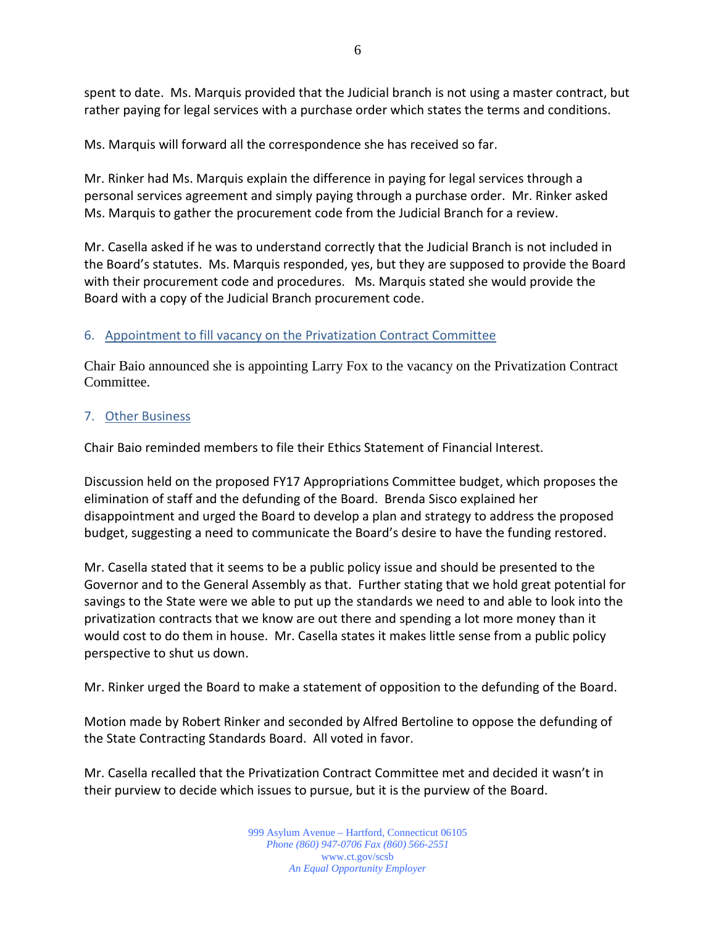spent to date. Ms. Marquis provided that the Judicial branch is not using a master contract, but rather paying for legal services with a purchase order which states the terms and conditions.

Ms. Marquis will forward all the correspondence she has received so far.

Mr. Rinker had Ms. Marquis explain the difference in paying for legal services through a personal services agreement and simply paying through a purchase order. Mr. Rinker asked Ms. Marquis to gather the procurement code from the Judicial Branch for a review.

Mr. Casella asked if he was to understand correctly that the Judicial Branch is not included in the Board's statutes. Ms. Marquis responded, yes, but they are supposed to provide the Board with their procurement code and procedures. Ms. Marquis stated she would provide the Board with a copy of the Judicial Branch procurement code.

# 6. Appointment to fill vacancy on the Privatization Contract Committee

Chair Baio announced she is appointing Larry Fox to the vacancy on the Privatization Contract Committee.

# 7. Other Business

Chair Baio reminded members to file their Ethics Statement of Financial Interest.

Discussion held on the proposed FY17 Appropriations Committee budget, which proposes the elimination of staff and the defunding of the Board. Brenda Sisco explained her disappointment and urged the Board to develop a plan and strategy to address the proposed budget, suggesting a need to communicate the Board's desire to have the funding restored.

Mr. Casella stated that it seems to be a public policy issue and should be presented to the Governor and to the General Assembly as that. Further stating that we hold great potential for savings to the State were we able to put up the standards we need to and able to look into the privatization contracts that we know are out there and spending a lot more money than it would cost to do them in house. Mr. Casella states it makes little sense from a public policy perspective to shut us down.

Mr. Rinker urged the Board to make a statement of opposition to the defunding of the Board.

Motion made by Robert Rinker and seconded by Alfred Bertoline to oppose the defunding of the State Contracting Standards Board. All voted in favor.

Mr. Casella recalled that the Privatization Contract Committee met and decided it wasn't in their purview to decide which issues to pursue, but it is the purview of the Board.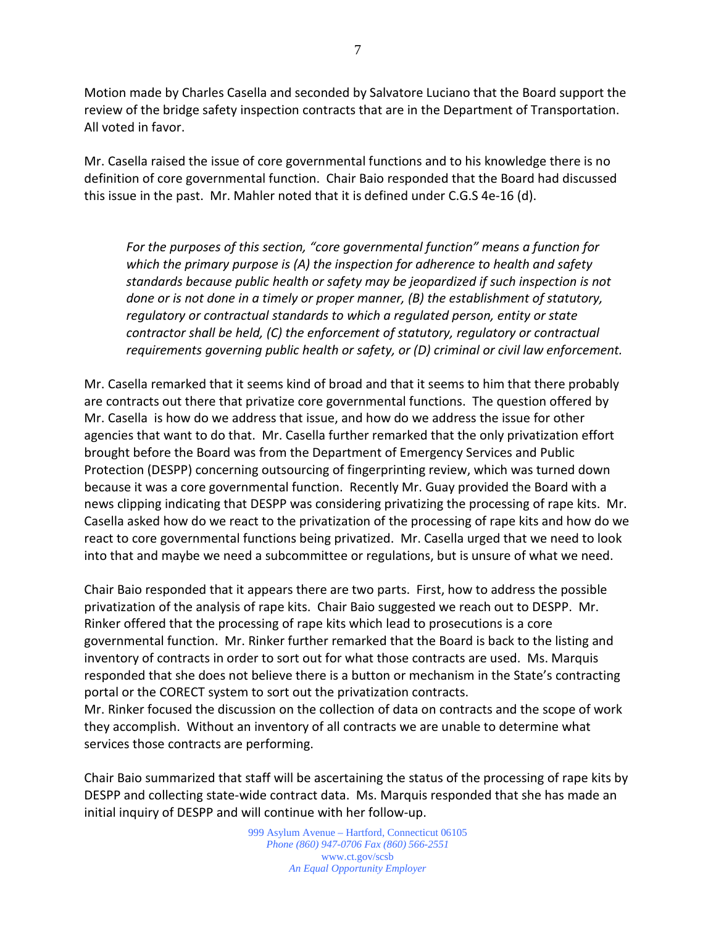Motion made by Charles Casella and seconded by Salvatore Luciano that the Board support the review of the bridge safety inspection contracts that are in the Department of Transportation. All voted in favor.

Mr. Casella raised the issue of core governmental functions and to his knowledge there is no definition of core governmental function. Chair Baio responded that the Board had discussed this issue in the past. Mr. Mahler noted that it is defined under C.G.S 4e-16 (d).

*For the purposes of this section, "core governmental function" means a function for which the primary purpose is (A) the inspection for adherence to health and safety standards because public health or safety may be jeopardized if such inspection is not done or is not done in a timely or proper manner, (B) the establishment of statutory, regulatory or contractual standards to which a regulated person, entity or state contractor shall be held, (C) the enforcement of statutory, regulatory or contractual requirements governing public health or safety, or (D) criminal or civil law enforcement.*

Mr. Casella remarked that it seems kind of broad and that it seems to him that there probably are contracts out there that privatize core governmental functions. The question offered by Mr. Casella is how do we address that issue, and how do we address the issue for other agencies that want to do that. Mr. Casella further remarked that the only privatization effort brought before the Board was from the Department of Emergency Services and Public Protection (DESPP) concerning outsourcing of fingerprinting review, which was turned down because it was a core governmental function. Recently Mr. Guay provided the Board with a news clipping indicating that DESPP was considering privatizing the processing of rape kits. Mr. Casella asked how do we react to the privatization of the processing of rape kits and how do we react to core governmental functions being privatized. Mr. Casella urged that we need to look into that and maybe we need a subcommittee or regulations, but is unsure of what we need.

Chair Baio responded that it appears there are two parts. First, how to address the possible privatization of the analysis of rape kits. Chair Baio suggested we reach out to DESPP. Mr. Rinker offered that the processing of rape kits which lead to prosecutions is a core governmental function. Mr. Rinker further remarked that the Board is back to the listing and inventory of contracts in order to sort out for what those contracts are used. Ms. Marquis responded that she does not believe there is a button or mechanism in the State's contracting portal or the CORECT system to sort out the privatization contracts. Mr. Rinker focused the discussion on the collection of data on contracts and the scope of work

they accomplish. Without an inventory of all contracts we are unable to determine what services those contracts are performing.

Chair Baio summarized that staff will be ascertaining the status of the processing of rape kits by DESPP and collecting state-wide contract data. Ms. Marquis responded that she has made an initial inquiry of DESPP and will continue with her follow-up.